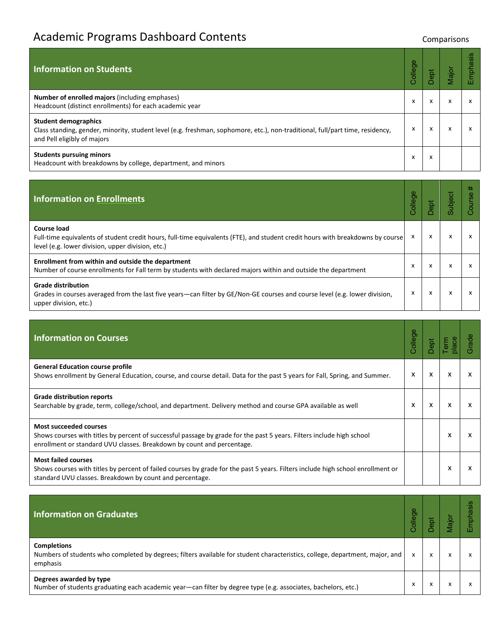## Academic Programs Dashboard Contents **Contents** Comparisons

| Information on Students                                                                                                                                                                     | Φ<br>College    | ទួ        | Major  | Emphasis |
|---------------------------------------------------------------------------------------------------------------------------------------------------------------------------------------------|-----------------|-----------|--------|----------|
| <b>Number of enrolled majors (including emphases)</b><br>Headcount (distinct enrollments) for each academic year                                                                            | $\check{}$<br>v |           | v<br>^ | x        |
| <b>Student demographics</b><br>Class standing, gender, minority, student level (e.g. freshman, sophomore, etc.), non-traditional, full/part time, residency,<br>and Pell eligibly of majors | x               | $\lambda$ | X      | x        |
| <b>Students pursuing minors</b><br>Headcount with breakdowns by college, department, and minors                                                                                             | x               | ж         |        |          |

| <b>Information on Enrollments</b>                                                                                                                                                                  | ō<br>Coller |   | ubject | 共 |
|----------------------------------------------------------------------------------------------------------------------------------------------------------------------------------------------------|-------------|---|--------|---|
| Course load<br>Full-time equivalents of student credit hours, full-time equivalents (FTE), and student credit hours with breakdowns by course<br>level (e.g. lower division, upper division, etc.) |             | X |        |   |
| Enrollment from within and outside the department<br>Number of course enrollments for Fall term by students with declared majors within and outside the department                                 | X           | x |        |   |
| <b>Grade distribution</b><br>Grades in courses averaged from the last five years—can filter by GE/Non-GE courses and course level (e.g. lower division,<br>upper division, etc.)                   | X           | x |        |   |

| <b>Information on Courses</b>                                                                                                                                                                                                    | Φ<br>College | Dept |   |   |
|----------------------------------------------------------------------------------------------------------------------------------------------------------------------------------------------------------------------------------|--------------|------|---|---|
| <b>General Education course profile</b><br>Shows enrollment by General Education, course, and course detail. Data for the past 5 years for Fall, Spring, and Summer.                                                             | x            | X    | x | x |
| <b>Grade distribution reports</b><br>Searchable by grade, term, college/school, and department. Delivery method and course GPA available as well                                                                                 | x            | X    | x |   |
| <b>Most succeeded courses</b><br>Shows courses with titles by percent of successful passage by grade for the past 5 years. Filters include high school<br>enrollment or standard UVU classes. Breakdown by count and percentage. |              |      | x | x |
| <b>Most failed courses</b><br>Shows courses with titles by percent of failed courses by grade for the past 5 years. Filters include high school enrollment or<br>standard UVU classes. Breakdown by count and percentage.        |              |      | x |   |

| <b>Information on Graduates</b>                                                                                                                                | o<br>Colleg |   | ချ်       | U) |
|----------------------------------------------------------------------------------------------------------------------------------------------------------------|-------------|---|-----------|----|
| <b>Completions</b><br>Numbers of students who completed by degrees; filters available for student characteristics, college, department, major, and<br>emphasis | $\check{}$  | X | $\lambda$ |    |
| Degrees awarded by type<br>Number of students graduating each academic year—can filter by degree type (e.g. associates, bachelors, etc.)                       | ж           |   |           |    |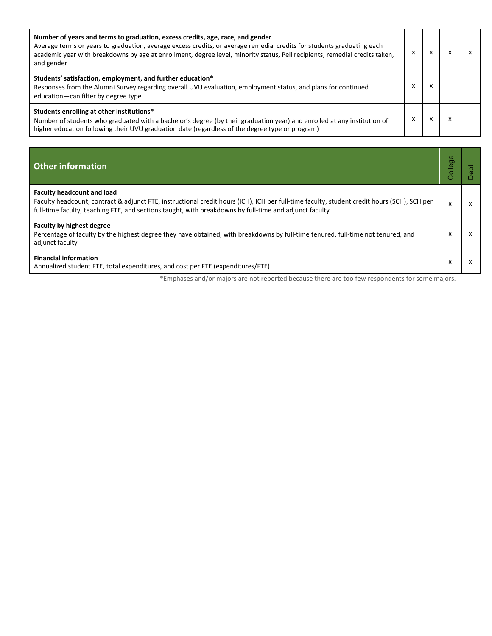| Number of years and terms to graduation, excess credits, age, race, and gender<br>Average terms or years to graduation, average excess credits, or average remedial credits for students graduating each<br>academic year with breakdowns by age at enrollment, degree level, minority status, Pell recipients, remedial credits taken,<br>and gender | x | x         |  |
|-------------------------------------------------------------------------------------------------------------------------------------------------------------------------------------------------------------------------------------------------------------------------------------------------------------------------------------------------------|---|-----------|--|
| Students' satisfaction, employment, and further education*<br>Responses from the Alumni Survey regarding overall UVU evaluation, employment status, and plans for continued<br>education-can filter by degree type                                                                                                                                    |   | ^         |  |
| Students enrolling at other institutions*<br>Number of students who graduated with a bachelor's degree (by their graduation year) and enrolled at any institution of<br>higher education following their UVU graduation date (regardless of the degree type or program)                                                                               | ᄉ | $\lambda$ |  |

| <b>Other information</b>                                                                                                                                                                                                                                                                   | olleg |   |
|--------------------------------------------------------------------------------------------------------------------------------------------------------------------------------------------------------------------------------------------------------------------------------------------|-------|---|
| <b>Faculty headcount and load</b><br>Faculty headcount, contract & adjunct FTE, instructional credit hours (ICH), ICH per full-time faculty, student credit hours (SCH), SCH per<br>full-time faculty, teaching FTE, and sections taught, with breakdowns by full-time and adjunct faculty |       |   |
| <b>Faculty by highest degree</b><br>Percentage of faculty by the highest degree they have obtained, with breakdowns by full-time tenured, full-time not tenured, and<br>adjunct faculty                                                                                                    |       | x |
| <b>Financial information</b><br>Annualized student FTE, total expenditures, and cost per FTE (expenditures/FTE)                                                                                                                                                                            |       |   |

\*Emphases and/or majors are not reported because there are too few respondents for some majors.

College

 $x \mid x$ 

Dept